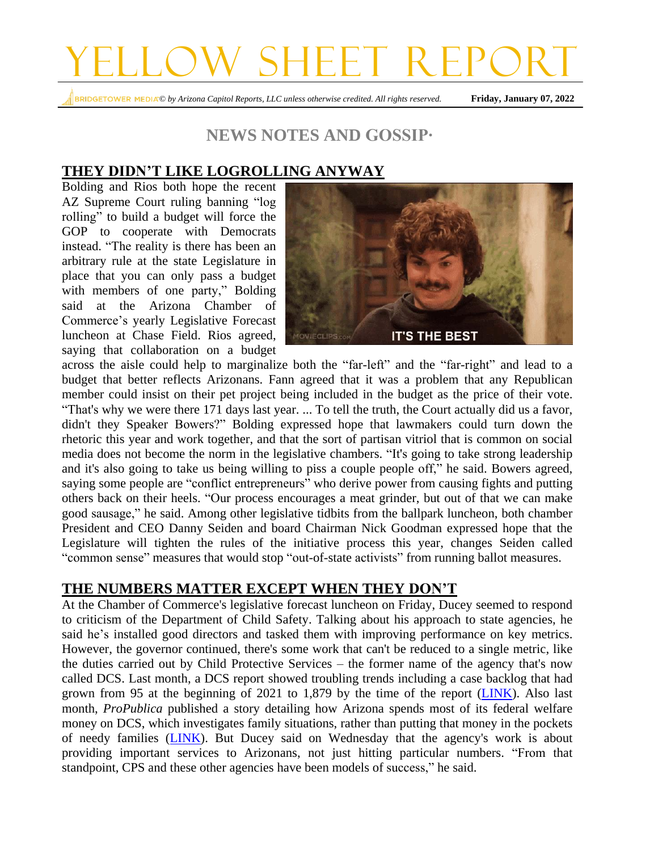# YELLOW SHEET REPORT

*© by Arizona Capitol Reports, LLC unless otherwise credited. All rights reserved.* **Friday, January 07, 2022**

## **NEWS NOTES AND GOSSIP∙**

#### **THEY DIDN'T LIKE LOGROLLING ANYWAY**

Bolding and Rios both hope the recent AZ Supreme Court ruling banning "log rolling" to build a budget will force the GOP to cooperate with Democrats instead. "The reality is there has been an arbitrary rule at the state Legislature in place that you can only pass a budget with members of one party," Bolding said at the Arizona Chamber of Commerce's yearly Legislative Forecast luncheon at Chase Field. Rios agreed, saying that collaboration on a budget



across the aisle could help to marginalize both the "far-left" and the "far-right" and lead to a budget that better reflects Arizonans. Fann agreed that it was a problem that any Republican member could insist on their pet project being included in the budget as the price of their vote. "That's why we were there 171 days last year. ... To tell the truth, the Court actually did us a favor, didn't they Speaker Bowers?" Bolding expressed hope that lawmakers could turn down the rhetoric this year and work together, and that the sort of partisan vitriol that is common on social media does not become the norm in the legislative chambers. "It's going to take strong leadership and it's also going to take us being willing to piss a couple people off," he said. Bowers agreed, saying some people are "conflict entrepreneurs" who derive power from causing fights and putting others back on their heels. "Our process encourages a meat grinder, but out of that we can make good sausage," he said. Among other legislative tidbits from the ballpark luncheon, both chamber President and CEO Danny Seiden and board Chairman Nick Goodman expressed hope that the Legislature will tighten the rules of the initiative process this year, changes Seiden called "common sense" measures that would stop "out-of-state activists" from running ballot measures.

#### **THE NUMBERS MATTER EXCEPT WHEN THEY DON'T**

At the Chamber of Commerce's legislative forecast luncheon on Friday, Ducey seemed to respond to criticism of the Department of Child Safety. Talking about his approach to state agencies, he said he's installed good directors and tasked them with improving performance on key metrics. However, the governor continued, there's some work that can't be reduced to a single metric, like the duties carried out by Child Protective Services – the former name of the agency that's now called DCS. Last month, a DCS report showed troubling trends including a case backlog that had grown from 95 at the beginning of 2021 to 1,879 by the time of the report [\(LINK\)](https://azcapitoltimes.com/news/2021/12/17/child-abuse-investigation-backlog-soars/). Also last month, *ProPublica* published a story detailing how Arizona spends most of its federal welfare money on DCS, which investigates family situations, rather than putting that money in the pockets of needy families [\(LINK\)](https://www.propublica.org/article/a-mother-needed-welfare-instead-the-state-used-welfare-funds-to-take-her-son). But Ducey said on Wednesday that the agency's work is about providing important services to Arizonans, not just hitting particular numbers. "From that standpoint, CPS and these other agencies have been models of success," he said.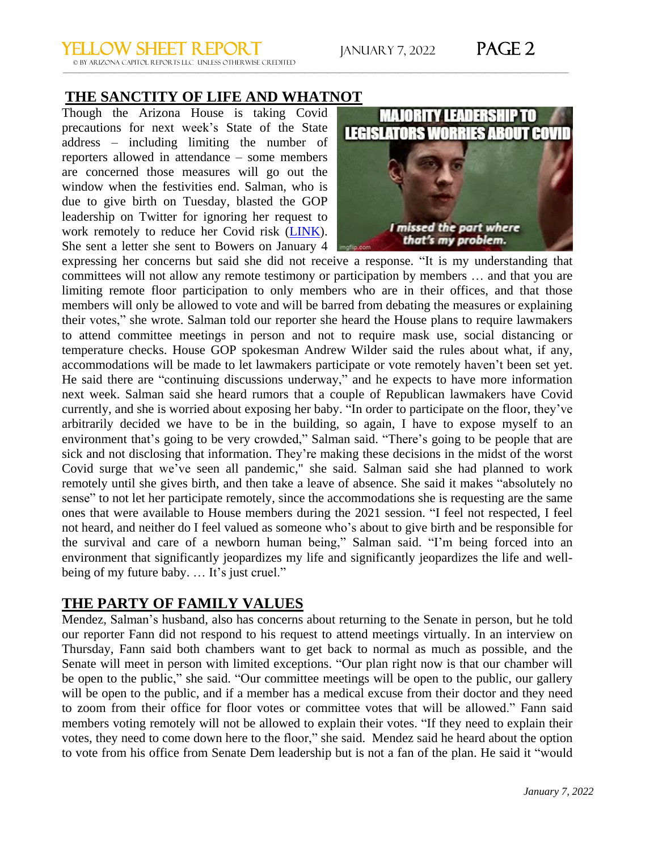# YELLOW SHEET REPORT JANUARY 7, 2022 PAGE 2

 © by ARIZONA CAPITOL REPORTS LLC UNLESS OTHERWISE CREDITED \_\_\_\_\_\_\_\_\_\_\_\_\_\_\_\_\_\_\_\_\_\_\_\_\_\_\_\_\_\_\_\_\_\_\_\_\_\_\_\_\_\_\_\_\_\_\_\_\_\_\_\_\_\_\_\_\_\_\_\_\_\_\_\_\_\_\_\_\_\_\_\_\_\_\_\_\_\_\_\_\_\_\_\_\_\_\_\_\_\_\_\_\_\_\_\_\_\_\_\_\_\_\_\_\_\_\_\_\_\_\_\_\_\_\_\_\_\_\_\_\_\_\_\_\_\_\_\_\_\_\_\_\_\_\_\_\_\_\_\_\_\_\_\_\_\_\_\_\_\_\_\_\_\_\_\_\_

#### **THE SANCTITY OF LIFE AND WHATNOT**

Though the Arizona House is taking Covid precautions for next week's State of the State address – including limiting the number of reporters allowed in attendance – some members are concerned those measures will go out the window when the festivities end. Salman, who is due to give birth on Tuesday, blasted the GOP leadership on Twitter for ignoring her request to work remotely to reduce her Covid risk [\(LINK\)](https://twitter.com/AthenaSalman/status/1479482057264746497?s=20). She sent a letter she sent to Bowers on January 4



expressing her concerns but said she did not receive a response. "It is my understanding that committees will not allow any remote testimony or participation by members … and that you are limiting remote floor participation to only members who are in their offices, and that those members will only be allowed to vote and will be barred from debating the measures or explaining their votes," she wrote. Salman told our reporter she heard the House plans to require lawmakers to attend committee meetings in person and not to require mask use, social distancing or temperature checks. House GOP spokesman Andrew Wilder said the rules about what, if any, accommodations will be made to let lawmakers participate or vote remotely haven't been set yet. He said there are "continuing discussions underway," and he expects to have more information next week. Salman said she heard rumors that a couple of Republican lawmakers have Covid currently, and she is worried about exposing her baby. "In order to participate on the floor, they've arbitrarily decided we have to be in the building, so again, I have to expose myself to an environment that's going to be very crowded," Salman said. "There's going to be people that are sick and not disclosing that information. They're making these decisions in the midst of the worst Covid surge that we've seen all pandemic," she said. Salman said she had planned to work remotely until she gives birth, and then take a leave of absence. She said it makes "absolutely no sense" to not let her participate remotely, since the accommodations she is requesting are the same ones that were available to House members during the 2021 session. "I feel not respected, I feel not heard, and neither do I feel valued as someone who's about to give birth and be responsible for the survival and care of a newborn human being," Salman said. "I'm being forced into an environment that significantly jeopardizes my life and significantly jeopardizes the life and wellbeing of my future baby. ... It's just cruel."

#### **THE PARTY OF FAMILY VALUES**

Mendez, Salman's husband, also has concerns about returning to the Senate in person, but he told our reporter Fann did not respond to his request to attend meetings virtually. In an interview on Thursday, Fann said both chambers want to get back to normal as much as possible, and the Senate will meet in person with limited exceptions. "Our plan right now is that our chamber will be open to the public," she said. "Our committee meetings will be open to the public, our gallery will be open to the public, and if a member has a medical excuse from their doctor and they need to zoom from their office for floor votes or committee votes that will be allowed." Fann said members voting remotely will not be allowed to explain their votes. "If they need to explain their votes, they need to come down here to the floor," she said. Mendez said he heard about the option to vote from his office from Senate Dem leadership but is not a fan of the plan. He said it "would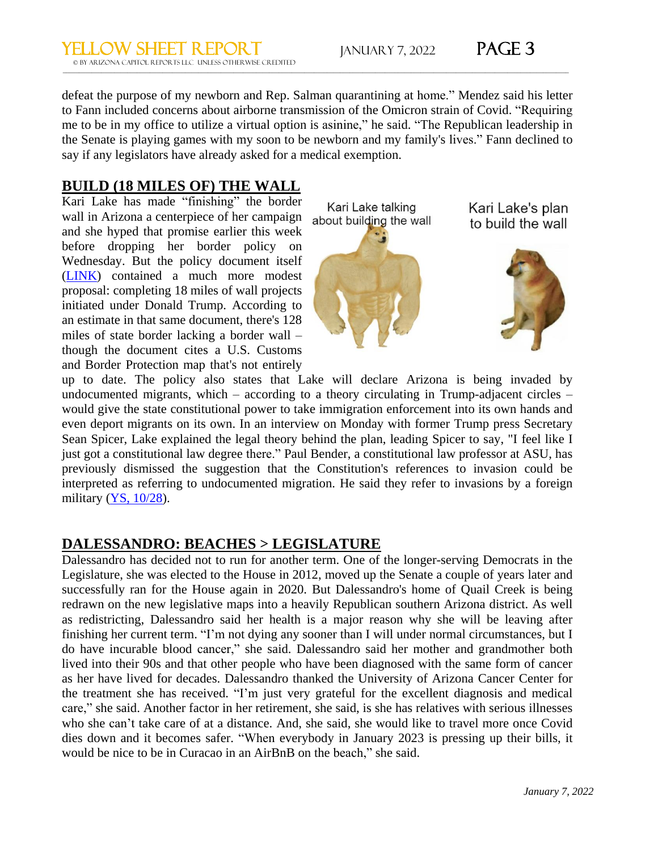defeat the purpose of my newborn and Rep. Salman quarantining at home." Mendez said his letter to Fann included concerns about airborne transmission of the Omicron strain of Covid. "Requiring me to be in my office to utilize a virtual option is asinine," he said. "The Republican leadership in the Senate is playing games with my soon to be newborn and my family's lives." Fann declined to say if any legislators have already asked for a medical exemption.

\_\_\_\_\_\_\_\_\_\_\_\_\_\_\_\_\_\_\_\_\_\_\_\_\_\_\_\_\_\_\_\_\_\_\_\_\_\_\_\_\_\_\_\_\_\_\_\_\_\_\_\_\_\_\_\_\_\_\_\_\_\_\_\_\_\_\_\_\_\_\_\_\_\_\_\_\_\_\_\_\_\_\_\_\_\_\_\_\_\_\_\_\_\_\_\_\_\_\_\_\_\_\_\_\_\_\_\_\_\_\_\_\_\_\_\_\_\_\_\_\_\_\_\_\_\_\_\_\_\_\_\_\_\_\_\_\_\_\_\_\_\_\_\_\_\_\_\_\_\_\_\_\_\_\_\_\_

## **BUILD (18 MILES OF) THE WALL**

Kari Lake has made "finishing" the border wall in Arizona a centerpiece of her campaign about building the wall and she hyped that promise earlier this week before dropping her border policy on Wednesday. But the policy document itself [\(LINK\)](https://www.karilake.com/border-policy) contained a much more modest proposal: completing 18 miles of wall projects initiated under Donald Trump. According to an estimate in that same document, there's 128 miles of state border lacking a border wall – though the document cites a U.S. Customs and Border Protection map that's not entirely

Kari Lake talking



Kari Lake's plan to build the wall



up to date. The policy also states that Lake will declare Arizona is being invaded by undocumented migrants, which – according to a theory circulating in Trump-adjacent circles – would give the state constitutional power to take immigration enforcement into its own hands and even deport migrants on its own. In an interview on Monday with former Trump press Secretary Sean Spicer, Lake explained the legal theory behind the plan, leading Spicer to say, "I feel like I just got a constitutional law degree there." Paul Bender, a constitutional law professor at ASU, has previously dismissed the suggestion that the Constitution's references to invasion could be interpreted as referring to undocumented migration. He said they refer to invasions by a foreign military (YS, [10/28\)](https://yellowsheetreport.com/2021/10/28/the-political-theater-starring-brno-and-hoffman/?utm_term=THE%20POLITICAL%20THEATER%2C%20STARRING%20BRNO%20AND%20HOFFMAN&utm_campaign=In%20Today%27s%20Yellow%20Sheet&utm_content=email&utm_source=Act-On+Software&utm_medium=email&cm_mmc=Act-On%20Software-_-email-_-In%20Today%27s%20Yellow%20Sheet-_-THE%20POLITICAL%20THEATER%2C%20STARRING%20BRNO%20AND%20HOFFMAN).

#### **DALESSANDRO: BEACHES > LEGISLATURE**

Dalessandro has decided not to run for another term. One of the longer-serving Democrats in the Legislature, she was elected to the House in 2012, moved up the Senate a couple of years later and successfully ran for the House again in 2020. But Dalessandro's home of Quail Creek is being redrawn on the new legislative maps into a heavily Republican southern Arizona district. As well as redistricting, Dalessandro said her health is a major reason why she will be leaving after finishing her current term. "I'm not dying any sooner than I will under normal circumstances, but I do have incurable blood cancer," she said. Dalessandro said her mother and grandmother both lived into their 90s and that other people who have been diagnosed with the same form of cancer as her have lived for decades. Dalessandro thanked the University of Arizona Cancer Center for the treatment she has received. "I'm just very grateful for the excellent diagnosis and medical care," she said. Another factor in her retirement, she said, is she has relatives with serious illnesses who she can't take care of at a distance. And, she said, she would like to travel more once Covid dies down and it becomes safer. "When everybody in January 2023 is pressing up their bills, it would be nice to be in Curacao in an AirBnB on the beach," she said.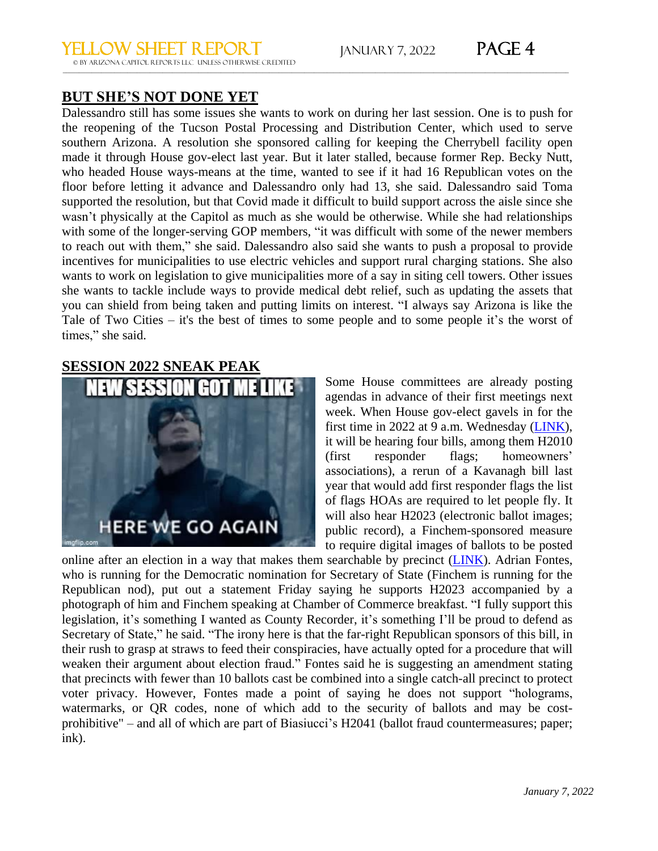#### **BUT SHE'S NOT DONE YET**

Dalessandro still has some issues she wants to work on during her last session. One is to push for the reopening of the Tucson Postal Processing and Distribution Center, which used to serve southern Arizona. A resolution she sponsored calling for keeping the Cherrybell facility open made it through House gov-elect last year. But it later stalled, because former Rep. Becky Nutt, who headed House ways-means at the time, wanted to see if it had 16 Republican votes on the floor before letting it advance and Dalessandro only had 13, she said. Dalessandro said Toma supported the resolution, but that Covid made it difficult to build support across the aisle since she wasn't physically at the Capitol as much as she would be otherwise. While she had relationships with some of the longer-serving GOP members, "it was difficult with some of the newer members to reach out with them," she said. Dalessandro also said she wants to push a proposal to provide incentives for municipalities to use electric vehicles and support rural charging stations. She also wants to work on legislation to give municipalities more of a say in siting cell towers. Other issues she wants to tackle include ways to provide medical debt relief, such as updating the assets that you can shield from being taken and putting limits on interest. "I always say Arizona is like the Tale of Two Cities – it's the best of times to some people and to some people it's the worst of times," she said.

\_\_\_\_\_\_\_\_\_\_\_\_\_\_\_\_\_\_\_\_\_\_\_\_\_\_\_\_\_\_\_\_\_\_\_\_\_\_\_\_\_\_\_\_\_\_\_\_\_\_\_\_\_\_\_\_\_\_\_\_\_\_\_\_\_\_\_\_\_\_\_\_\_\_\_\_\_\_\_\_\_\_\_\_\_\_\_\_\_\_\_\_\_\_\_\_\_\_\_\_\_\_\_\_\_\_\_\_\_\_\_\_\_\_\_\_\_\_\_\_\_\_\_\_\_\_\_\_\_\_\_\_\_\_\_\_\_\_\_\_\_\_\_\_\_\_\_\_\_\_\_\_\_\_\_\_\_

#### **SESSION 2022 SNEAK PEAK**



Some House committees are already posting agendas in advance of their first meetings next week. When House gov-elect gavels in for the first time in 2022 at 9 a.m. Wednesday [\(LINK\)](https://www.azleg.gov/agendas/01120108125.pdf), it will be hearing four bills, among them H2010 (first responder flags; homeowners' associations), a rerun of a Kavanagh bill last year that would add first responder flags the list of flags HOAs are required to let people fly. It will also hear H2023 (electronic ballot images; public record), a Finchem-sponsored measure to require digital images of ballots to be posted

online after an election in a way that makes them searchable by precinct [\(LINK\)](https://www.azleg.gov/legtext/55leg/2R/bills/HB2023P.pdf). Adrian Fontes, who is running for the Democratic nomination for Secretary of State (Finchem is running for the Republican nod), put out a statement Friday saying he supports H2023 accompanied by a photograph of him and Finchem speaking at Chamber of Commerce breakfast. "I fully support this legislation, it's something I wanted as County Recorder, it's something I'll be proud to defend as Secretary of State," he said. "The irony here is that the far-right Republican sponsors of this bill, in their rush to grasp at straws to feed their conspiracies, have actually opted for a procedure that will weaken their argument about election fraud." Fontes said he is suggesting an amendment stating that precincts with fewer than 10 ballots cast be combined into a single catch-all precinct to protect voter privacy. However, Fontes made a point of saying he does not support "holograms, watermarks, or QR codes, none of which add to the security of ballots and may be costprohibitive" – and all of which are part of Biasiucci's H2041 (ballot fraud countermeasures; paper; ink).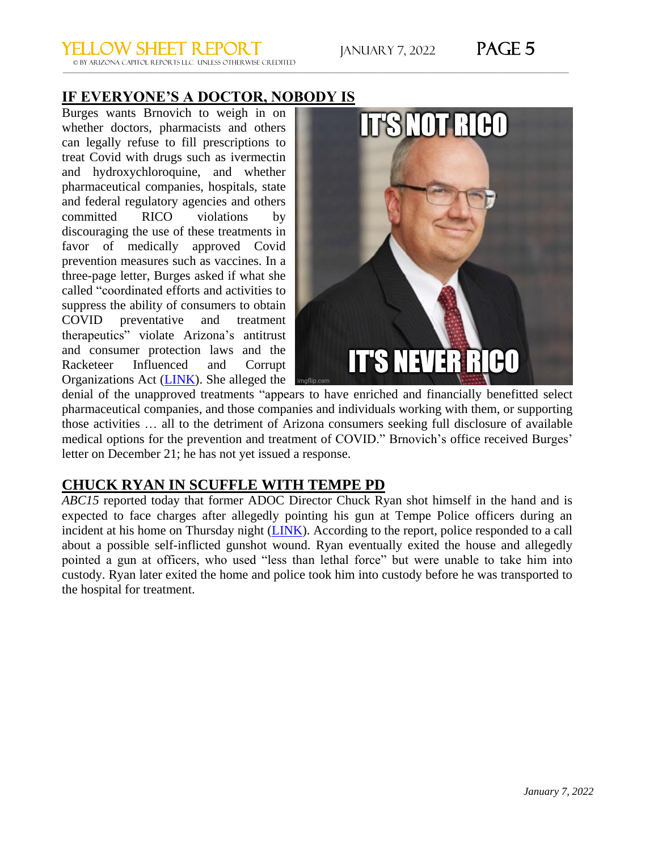# YELLOW SHEET REPORT JANUARY 7, 2022 PAGE 5

 © by ARIZONA CAPITOL REPORTS LLC UNLESS OTHERWISE CREDITED \_\_\_\_\_\_\_\_\_\_\_\_\_\_\_\_\_\_\_\_\_\_\_\_\_\_\_\_\_\_\_\_\_\_\_\_\_\_\_\_\_\_\_\_\_\_\_\_\_\_\_\_\_\_\_\_\_\_\_\_\_\_\_\_\_\_\_\_\_\_\_\_\_\_\_\_\_\_\_\_\_\_\_\_\_\_\_\_\_\_\_\_\_\_\_\_\_\_\_\_\_\_\_\_\_\_\_\_\_\_\_\_\_\_\_\_\_\_\_\_\_\_\_\_\_\_\_\_\_\_\_\_\_\_\_\_\_\_\_\_\_\_\_\_\_\_\_\_\_\_\_\_\_\_\_\_\_

#### **IF EVERYONE'S A DOCTOR, NOBODY IS**

Burges wants Brnovich to weigh in on whether doctors, pharmacists and others can legally refuse to fill prescriptions to treat Covid with drugs such as ivermectin and hydroxychloroquine, and whether pharmaceutical companies, hospitals, state and federal regulatory agencies and others committed RICO violations by discouraging the use of these treatments in favor of medically approved Covid prevention measures such as vaccines. In a three-page letter, Burges asked if what she called "coordinated efforts and activities to suppress the ability of consumers to obtain COVID preventative and treatment therapeutics" violate Arizona's antitrust and consumer protection laws and the Racketeer Influenced and Corrupt Organizations Act [\(LINK\)](https://www.azag.gov/sites/default/files/2021-12/R21-020.pdf). She alleged the



denial of the unapproved treatments "appears to have enriched and financially benefitted select pharmaceutical companies, and those companies and individuals working with them, or supporting those activities … all to the detriment of Arizona consumers seeking full disclosure of available medical options for the prevention and treatment of COVID." Brnovich's office received Burges' letter on December 21; he has not yet issued a response.

#### **CHUCK RYAN IN SCUFFLE WITH TEMPE PD**

*ABC15* reported today that former ADOC Director Chuck Ryan shot himself in the hand and is expected to face charges after allegedly pointing his gun at Tempe Police officers during an incident at his home on Thursday night [\(LINK\)](https://www.abc15.com/news/region-southeast-valley/tempe/former-arizona-corrections-director-charles-ryan-injured-to-face-charges-in-tempe-incident). According to the report, police responded to a call about a possible self-inflicted gunshot wound. Ryan eventually exited the house and allegedly pointed a gun at officers, who used "less than lethal force" but were unable to take him into custody. Ryan later exited the home and police took him into custody before he was transported to the hospital for treatment.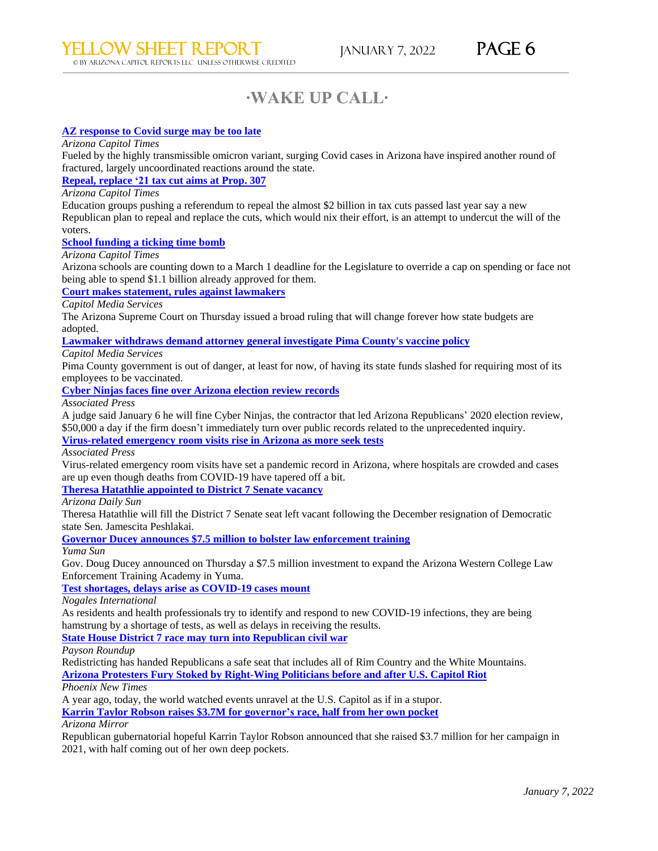# **∙WAKE UP CALL∙**

\_\_\_\_\_\_\_\_\_\_\_\_\_\_\_\_\_\_\_\_\_\_\_\_\_\_\_\_\_\_\_\_\_\_\_\_\_\_\_\_\_\_\_\_\_\_\_\_\_\_\_\_\_\_\_\_\_\_\_\_\_\_\_\_\_\_\_\_\_\_\_\_\_\_\_\_\_\_\_\_\_\_\_\_\_\_\_\_\_\_\_\_\_\_\_\_\_\_\_\_\_\_\_\_\_\_\_\_\_\_\_\_\_\_\_\_\_\_\_\_\_\_\_\_\_\_\_\_\_\_\_\_\_\_\_\_\_\_\_\_\_\_\_\_\_\_\_\_\_\_\_\_\_\_\_\_\_

#### **AZ [response](https://nam12.safelinks.protection.outlook.com/?url=https%3A%2F%2Fnews.azcapitoltimes.com%2Facton%2Fct%2F22716%2Fs-16d5-2201%2FBct%2Fq-005d%2Fl-0021%3A2a8%2Fct1_0%2F1%2Flu%3Fsid%3DTV2%253AfIggwZtyP&data=04%7C01%7Cwschutsky%40azcapitoltimes.com%7C9bf395dc6080408327c008d9d1f6e68a%7C19066f1637ab495782af7cb29bcd78a3%7C1%7C0%7C637771680631404751%7CUnknown%7CTWFpbGZsb3d8eyJWIjoiMC4wLjAwMDAiLCJQIjoiV2luMzIiLCJBTiI6Ik1haWwiLCJXVCI6Mn0%3D%7C3000&sdata=57B0LyoBVg9V%2FrXRCeZGoKRU1zw1nKFbSHP9T3PDh8Y%3D&reserved=0) to Covid surge may be too late**

*Arizona Capitol Times*

Fueled by the highly transmissible omicron variant, surging Covid cases in Arizona have inspired another round of fractured, largely uncoordinated reactions around the state.

**[Repeal,](https://nam12.safelinks.protection.outlook.com/?url=https%3A%2F%2Fnews.azcapitoltimes.com%2Facton%2Fct%2F22716%2Fs-16d5-2201%2FBct%2Fq-005d%2Fl-0021%3A2a8%2Fct2_0%2F1%2Flu%3Fsid%3DTV2%253AfIggwZtyP&data=04%7C01%7Cwschutsky%40azcapitoltimes.com%7C9bf395dc6080408327c008d9d1f6e68a%7C19066f1637ab495782af7cb29bcd78a3%7C1%7C0%7C637771680631404751%7CUnknown%7CTWFpbGZsb3d8eyJWIjoiMC4wLjAwMDAiLCJQIjoiV2luMzIiLCJBTiI6Ik1haWwiLCJXVCI6Mn0%3D%7C3000&sdata=OAMVBsKsUg1qhwkfzOHnN14zM457mNOtolg1Bq6QvZg%3D&reserved=0) replace '21 tax cut aims at Prop. 307**

*Arizona Capitol Times*

Education groups pushing a referendum to repeal the almost \$2 billion in tax cuts passed last year say a new Republican plan to repeal and replace the cuts, which would nix their effort, is an attempt to undercut the will of the voters.

#### **School [funding](https://nam12.safelinks.protection.outlook.com/?url=https%3A%2F%2Fnews.azcapitoltimes.com%2Facton%2Fct%2F22716%2Fs-16d5-2201%2FBct%2Fq-005d%2Fl-0021%3A2a8%2Fct3_0%2F1%2Flu%3Fsid%3DTV2%253AfIggwZtyP&data=04%7C01%7Cwschutsky%40azcapitoltimes.com%7C9bf395dc6080408327c008d9d1f6e68a%7C19066f1637ab495782af7cb29bcd78a3%7C1%7C0%7C637771680631414702%7CUnknown%7CTWFpbGZsb3d8eyJWIjoiMC4wLjAwMDAiLCJQIjoiV2luMzIiLCJBTiI6Ik1haWwiLCJXVCI6Mn0%3D%7C3000&sdata=zl%2FIEtKH2PL6aiyAMmbK9JGmk6JwM1D70%2F97cmmko8c%3D&reserved=0) a ticking time bomb**

*Arizona Capitol Times*

Arizona schools are counting down to a March 1 deadline for the Legislature to override a cap on spending or face not being able to spend \$1.1 billion already approved for them.

**Court makes statement, rules against [lawmakers](https://nam12.safelinks.protection.outlook.com/?url=https%3A%2F%2Fnews.azcapitoltimes.com%2Facton%2Fct%2F22716%2Fs-16d5-2201%2FBct%2Fq-005d%2Fl-0021%3A2a8%2Fct4_0%2F1%2Flu%3Fsid%3DTV2%253AfIggwZtyP&data=04%7C01%7Cwschutsky%40azcapitoltimes.com%7C9bf395dc6080408327c008d9d1f6e68a%7C19066f1637ab495782af7cb29bcd78a3%7C1%7C0%7C637771680631424660%7CUnknown%7CTWFpbGZsb3d8eyJWIjoiMC4wLjAwMDAiLCJQIjoiV2luMzIiLCJBTiI6Ik1haWwiLCJXVCI6Mn0%3D%7C3000&sdata=AcqTS%2Bc7Ob3Z0XWojs8ayT1SvDHyL3ZTomWHiHUhnc8%3D&reserved=0)**

*Capitol Media Services*

The Arizona Supreme Court on Thursday issued a broad ruling that will change forever how state budgets are adopted.

**[Lawmaker](https://nam12.safelinks.protection.outlook.com/?url=https%3A%2F%2Fnews.azcapitoltimes.com%2Facton%2Fct%2F22716%2Fs-16d5-2201%2FBct%2Fq-005d%2Fl-0021%3A2a8%2Fct5_0%2F1%2Flu%3Fsid%3DTV2%253AfIggwZtyP&data=04%7C01%7Cwschutsky%40azcapitoltimes.com%7C9bf395dc6080408327c008d9d1f6e68a%7C19066f1637ab495782af7cb29bcd78a3%7C1%7C0%7C637771680631424660%7CUnknown%7CTWFpbGZsb3d8eyJWIjoiMC4wLjAwMDAiLCJQIjoiV2luMzIiLCJBTiI6Ik1haWwiLCJXVCI6Mn0%3D%7C3000&sdata=MtqzzBwZQeoitYT6a2Ui6jCOszzWSVXmuJDhujeQIXs%3D&reserved=0) withdraws demand attorney general investigate Pima County's vaccine policy**

*Capitol Media Services*

Pima County government is out of danger, at least for now, of having its state funds slashed for requiring most of its employees to be vaccinated.

**Cyber Ninjas faces fine over [Arizona](https://nam12.safelinks.protection.outlook.com/?url=https%3A%2F%2Fnews.azcapitoltimes.com%2Facton%2Fct%2F22716%2Fs-16d5-2201%2FBct%2Fq-005d%2Fl-0021%3A2a8%2Fct6_0%2F1%2Flu%3Fsid%3DTV2%253AfIggwZtyP&data=04%7C01%7Cwschutsky%40azcapitoltimes.com%7C9bf395dc6080408327c008d9d1f6e68a%7C19066f1637ab495782af7cb29bcd78a3%7C1%7C0%7C637771680631434614%7CUnknown%7CTWFpbGZsb3d8eyJWIjoiMC4wLjAwMDAiLCJQIjoiV2luMzIiLCJBTiI6Ik1haWwiLCJXVCI6Mn0%3D%7C3000&sdata=PLN2RPv%2FF2%2Fi%2B9%2Bts0%2FfOB7m277%2F0pXMURZGQWgBLcg%3D&reserved=0) election review records**

*Associated Press*

A judge said January 6 he will fine Cyber Ninjas, the contractor that led Arizona Republicans' 2020 election review, \$50,000 a day if the firm doesn't immediately turn over public records related to the unprecedented inquiry.

**[Virus-related](https://nam12.safelinks.protection.outlook.com/?url=https%3A%2F%2Fnews.azcapitoltimes.com%2Facton%2Fct%2F22716%2Fs-16d5-2201%2FBct%2Fq-005d%2Fl-0021%3A2a8%2Fct7_0%2F1%2Flu%3Fsid%3DTV2%253AfIggwZtyP&data=04%7C01%7Cwschutsky%40azcapitoltimes.com%7C9bf395dc6080408327c008d9d1f6e68a%7C19066f1637ab495782af7cb29bcd78a3%7C1%7C0%7C637771680631444569%7CUnknown%7CTWFpbGZsb3d8eyJWIjoiMC4wLjAwMDAiLCJQIjoiV2luMzIiLCJBTiI6Ik1haWwiLCJXVCI6Mn0%3D%7C3000&sdata=LA6k827Mwwyi9maN1VcRQHsKOD0y4XMqPhzMy7Dt30M%3D&reserved=0) emergency room visits rise in Arizona as more seek tests**

*Associated Press*

Virus-related emergency room visits have set a pandemic record in Arizona, where hospitals are crowded and cases are up even though deaths from COVID-19 have tapered off a bit.

**Theresa Hatathlie [appointed](https://nam12.safelinks.protection.outlook.com/?url=https%3A%2F%2Fnews.azcapitoltimes.com%2Facton%2Fct%2F22716%2Fs-16d5-2201%2FBct%2Fq-005d%2Fl-0021%3A2a8%2Fct8_0%2F1%2Flu%3Fsid%3DTV2%253AfIggwZtyP&data=04%7C01%7Cwschutsky%40azcapitoltimes.com%7C9bf395dc6080408327c008d9d1f6e68a%7C19066f1637ab495782af7cb29bcd78a3%7C1%7C0%7C637771680631444569%7CUnknown%7CTWFpbGZsb3d8eyJWIjoiMC4wLjAwMDAiLCJQIjoiV2luMzIiLCJBTiI6Ik1haWwiLCJXVCI6Mn0%3D%7C3000&sdata=BO58C7aETNgiQ1pDjvyiYCuxBveCjc4VlDGLRJbXE2U%3D&reserved=0) to District 7 Senate vacancy**

*Arizona Daily Sun*

Theresa Hatathlie will fill the District 7 Senate seat left vacant following the December resignation of Democratic state Sen. Jamescita Peshlakai.

**Governor Ducey announces \$7.5 million to bolster law [enforcement](https://nam12.safelinks.protection.outlook.com/?url=https%3A%2F%2Fnews.azcapitoltimes.com%2Facton%2Fct%2F22716%2Fs-16d5-2201%2FBct%2Fq-005d%2Fl-0021%3A2a8%2Fct9_0%2F1%2Flu%3Fsid%3DTV2%253AfIggwZtyP&data=04%7C01%7Cwschutsky%40azcapitoltimes.com%7C9bf395dc6080408327c008d9d1f6e68a%7C19066f1637ab495782af7cb29bcd78a3%7C1%7C0%7C637771680631454527%7CUnknown%7CTWFpbGZsb3d8eyJWIjoiMC4wLjAwMDAiLCJQIjoiV2luMzIiLCJBTiI6Ik1haWwiLCJXVCI6Mn0%3D%7C3000&sdata=YoIbY%2BZGZl6zGZKyaKwBarT19DU3KOXOsR3bFBkEgVQ%3D&reserved=0) training**

*Yuma Sun*

Gov. Doug Ducey announced on Thursday a \$7.5 million investment to expand the Arizona Western College Law Enforcement Training Academy in Yuma.

**Test shortages, delays arise as [COVID-19](https://nam12.safelinks.protection.outlook.com/?url=https%3A%2F%2Fnews.azcapitoltimes.com%2Facton%2Fct%2F22716%2Fs-16d5-2201%2FBct%2Fq-005d%2Fl-0021%3A2a8%2Fct10_0%2F1%2Flu%3Fsid%3DTV2%253AfIggwZtyP&data=04%7C01%7Cwschutsky%40azcapitoltimes.com%7C9bf395dc6080408327c008d9d1f6e68a%7C19066f1637ab495782af7cb29bcd78a3%7C1%7C0%7C637771680631464482%7CUnknown%7CTWFpbGZsb3d8eyJWIjoiMC4wLjAwMDAiLCJQIjoiV2luMzIiLCJBTiI6Ik1haWwiLCJXVCI6Mn0%3D%7C3000&sdata=VGaZc87rRGYBRhhblGLj%2BnDSj04tfVJu198l5mC%2BIMs%3D&reserved=0) cases mount**

*Nogales International*

As residents and health professionals try to identify and respond to new COVID-19 infections, they are being hamstrung by a shortage of tests, as well as delays in receiving the results.

**State House District 7 race may turn into [Republican](https://nam12.safelinks.protection.outlook.com/?url=https%3A%2F%2Fnews.azcapitoltimes.com%2Facton%2Fct%2F22716%2Fs-16d5-2201%2FBct%2Fq-005d%2Fl-0021%3A2a8%2Fct11_0%2F1%2Flu%3Fsid%3DTV2%253AfIggwZtyP&data=04%7C01%7Cwschutsky%40azcapitoltimes.com%7C9bf395dc6080408327c008d9d1f6e68a%7C19066f1637ab495782af7cb29bcd78a3%7C1%7C0%7C637771680631474440%7CUnknown%7CTWFpbGZsb3d8eyJWIjoiMC4wLjAwMDAiLCJQIjoiV2luMzIiLCJBTiI6Ik1haWwiLCJXVCI6Mn0%3D%7C3000&sdata=X%2FHYpnnWjfQ8bTE7tUMDRkrb9bHKH6BUYlyIr8nD1Fk%3D&reserved=0) civil war**

*Payson Roundup*

Redistricting has handed Republicans a safe seat that includes all of Rim Country and the White Mountains. **Arizona Protesters Fury Stoked by [Right-Wing](https://nam12.safelinks.protection.outlook.com/?url=https%3A%2F%2Fnews.azcapitoltimes.com%2Facton%2Fct%2F22716%2Fs-16d5-2201%2FBct%2Fq-005d%2Fl-0021%3A2a8%2Fct12_0%2F1%2Flu%3Fsid%3DTV2%253AfIggwZtyP&data=04%7C01%7Cwschutsky%40azcapitoltimes.com%7C9bf395dc6080408327c008d9d1f6e68a%7C19066f1637ab495782af7cb29bcd78a3%7C1%7C0%7C637771680631474440%7CUnknown%7CTWFpbGZsb3d8eyJWIjoiMC4wLjAwMDAiLCJQIjoiV2luMzIiLCJBTiI6Ik1haWwiLCJXVCI6Mn0%3D%7C3000&sdata=uu0%2ByA%2FhiFCWR41kgGq%2FvQhMr8EUprM6oF5d3aU%2Bb9U%3D&reserved=0) Politicians before and after U.S. Capitol Riot**

*Phoenix New Times*

A year ago, today, the world watched events unravel at the U.S. Capitol as if in a stupor.

**Karrin Taylor Robson raises \$3.7M for [governor's](https://nam12.safelinks.protection.outlook.com/?url=https%3A%2F%2Fnews.azcapitoltimes.com%2Facton%2Fct%2F22716%2Fs-16d5-2201%2FBct%2Fq-005d%2Fl-0021%3A2a8%2Fct13_0%2F1%2Flu%3Fsid%3DTV2%253AfIggwZtyP&data=04%7C01%7Cwschutsky%40azcapitoltimes.com%7C9bf395dc6080408327c008d9d1f6e68a%7C19066f1637ab495782af7cb29bcd78a3%7C1%7C0%7C637771680631484400%7CUnknown%7CTWFpbGZsb3d8eyJWIjoiMC4wLjAwMDAiLCJQIjoiV2luMzIiLCJBTiI6Ik1haWwiLCJXVCI6Mn0%3D%7C3000&sdata=9QhSUDM0ixPqWL3hTNXHxy5%2BGSOA7MX6veXlM9ulgQU%3D&reserved=0) race, half from her own pocket**

*Arizona Mirror*

Republican gubernatorial hopeful Karrin Taylor Robson announced that she raised \$3.7 million for her campaign in 2021, with half coming out of her own deep pockets.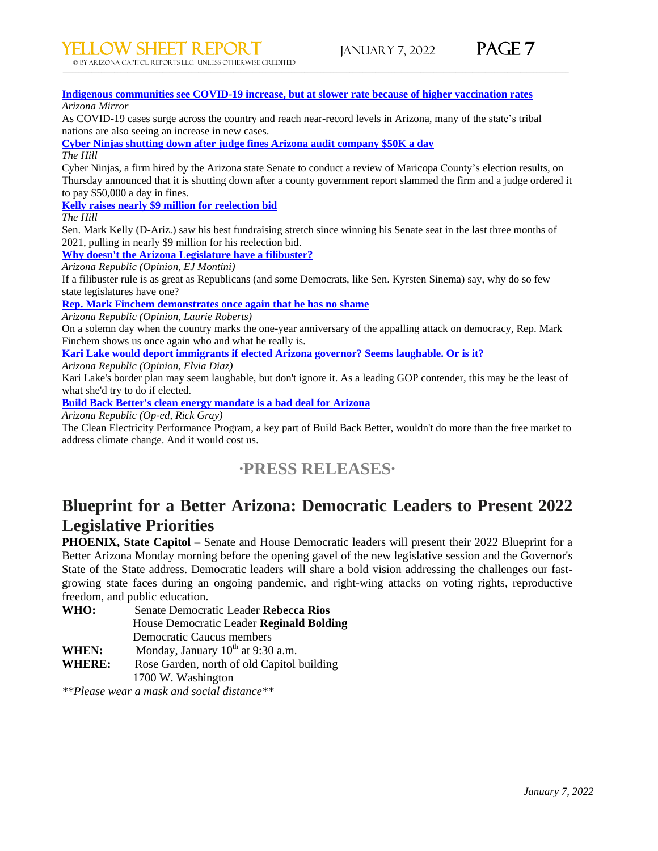**FLLOW SHEET REPORT** JANUARY 7, 2022 **PAGE 7** 

© by ARIZONA CAPITOL REPORTS LLC UNLESS OTHERWISE CREDITED



## **Indigenous [communities](https://nam12.safelinks.protection.outlook.com/?url=https%3A%2F%2Fnews.azcapitoltimes.com%2Facton%2Fct%2F22716%2Fs-16d5-2201%2FBct%2Fq-005d%2Fl-0021%3A2a8%2Fct14_0%2F1%2Flu%3Fsid%3DTV2%253AfIggwZtyP&data=04%7C01%7Cwschutsky%40azcapitoltimes.com%7C9bf395dc6080408327c008d9d1f6e68a%7C19066f1637ab495782af7cb29bcd78a3%7C1%7C0%7C637771680631494354%7CUnknown%7CTWFpbGZsb3d8eyJWIjoiMC4wLjAwMDAiLCJQIjoiV2luMzIiLCJBTiI6Ik1haWwiLCJXVCI6Mn0%3D%7C3000&sdata=6IB86M427Rz%2FjmwfsVOzbUZ3zDajV0g2I5TN56VJYVs%3D&reserved=0) see COVID-19 increase, but at slower rate because of higher vaccination rates**

*Arizona Mirror*

As COVID-19 cases surge across the country and reach near-record levels in Arizona, many of the state's tribal nations are also seeing an increase in new cases.

**Cyber Ninjas shutting down after judge fines Arizona audit [company](https://nam12.safelinks.protection.outlook.com/?url=https%3A%2F%2Fnews.azcapitoltimes.com%2Facton%2Fct%2F22716%2Fs-16d5-2201%2FBct%2Fq-005d%2Fl-0021%3A2a8%2Fct15_0%2F1%2Flu%3Fsid%3DTV2%253AfIggwZtyP&data=04%7C01%7Cwschutsky%40azcapitoltimes.com%7C9bf395dc6080408327c008d9d1f6e68a%7C19066f1637ab495782af7cb29bcd78a3%7C1%7C0%7C637771680631494354%7CUnknown%7CTWFpbGZsb3d8eyJWIjoiMC4wLjAwMDAiLCJQIjoiV2luMzIiLCJBTiI6Ik1haWwiLCJXVCI6Mn0%3D%7C3000&sdata=vKnxXcuLaE%2BFTUboZ9nnSu1gX3FMGkqaZNNbQbMzqu0%3D&reserved=0) \$50K a day**

*The Hill*

Cyber Ninjas, a firm hired by the Arizona state Senate to conduct a review of Maricopa County's election results, on Thursday announced that it is shutting down after a county government report slammed the firm and a judge ordered it to pay \$50,000 a day in fines.

\_\_\_\_\_\_\_\_\_\_\_\_\_\_\_\_\_\_\_\_\_\_\_\_\_\_\_\_\_\_\_\_\_\_\_\_\_\_\_\_\_\_\_\_\_\_\_\_\_\_\_\_\_\_\_\_\_\_\_\_\_\_\_\_\_\_\_\_\_\_\_\_\_\_\_\_\_\_\_\_\_\_\_\_\_\_\_\_\_\_\_\_\_\_\_\_\_\_\_\_\_\_\_\_\_\_\_\_\_\_\_\_\_\_\_\_\_\_\_\_\_\_\_\_\_\_\_\_\_\_\_\_\_\_\_\_\_\_\_\_\_\_\_\_\_\_\_\_\_\_\_\_\_\_\_\_\_

**Kelly raises nearly \$9 million for [reelection](https://nam12.safelinks.protection.outlook.com/?url=https%3A%2F%2Fnews.azcapitoltimes.com%2Facton%2Fct%2F22716%2Fs-16d5-2201%2FBct%2Fq-005d%2Fl-0021%3A2a8%2Fct16_0%2F1%2Flu%3Fsid%3DTV2%253AfIggwZtyP&data=04%7C01%7Cwschutsky%40azcapitoltimes.com%7C9bf395dc6080408327c008d9d1f6e68a%7C19066f1637ab495782af7cb29bcd78a3%7C1%7C0%7C637771680631504307%7CUnknown%7CTWFpbGZsb3d8eyJWIjoiMC4wLjAwMDAiLCJQIjoiV2luMzIiLCJBTiI6Ik1haWwiLCJXVCI6Mn0%3D%7C3000&sdata=3m7DRP2bXW2GUYbNnG20MORAnEiGj1v2VQ7m%2FKgNoKo%3D&reserved=0) bid**

*The Hill*

Sen. Mark Kelly (D-Ariz.) saw his best fundraising stretch since winning his Senate seat in the last three months of 2021, pulling in nearly \$9 million for his reelection bid.

**Why doesn't the Arizona [Legislature](https://nam12.safelinks.protection.outlook.com/?url=https%3A%2F%2Fnews.azcapitoltimes.com%2Facton%2Fct%2F22716%2Fs-16d5-2201%2FBct%2Fq-005d%2Fl-0021%3A2a8%2Fct17_0%2F1%2Flu%3Fsid%3DTV2%253AfIggwZtyP&data=04%7C01%7Cwschutsky%40azcapitoltimes.com%7C9bf395dc6080408327c008d9d1f6e68a%7C19066f1637ab495782af7cb29bcd78a3%7C1%7C0%7C637771680631514261%7CUnknown%7CTWFpbGZsb3d8eyJWIjoiMC4wLjAwMDAiLCJQIjoiV2luMzIiLCJBTiI6Ik1haWwiLCJXVCI6Mn0%3D%7C3000&sdata=DFMAzhHhYRGX7q3lbxG%2FGpDUzzEsdcwDJIOzBnk29PU%3D&reserved=0) have a filibuster?**

*Arizona Republic (Opinion, EJ Montini)*

If a filibuster rule is as great as Republicans (and some Democrats, like Sen. Kyrsten Sinema) say, why do so few state legislatures have one?

**Rep. Mark Finchem [demonstrates](https://nam12.safelinks.protection.outlook.com/?url=https%3A%2F%2Fnews.azcapitoltimes.com%2Facton%2Fct%2F22716%2Fs-16d5-2201%2FBct%2Fq-005d%2Fl-0021%3A2a8%2Fct18_0%2F1%2Flu%3Fsid%3DTV2%253AfIggwZtyP&data=04%7C01%7Cwschutsky%40azcapitoltimes.com%7C9bf395dc6080408327c008d9d1f6e68a%7C19066f1637ab495782af7cb29bcd78a3%7C1%7C0%7C637771680631514261%7CUnknown%7CTWFpbGZsb3d8eyJWIjoiMC4wLjAwMDAiLCJQIjoiV2luMzIiLCJBTiI6Ik1haWwiLCJXVCI6Mn0%3D%7C3000&sdata=CD06EmJJP6YDEKP2EWi3Yx6JRDEds2lejVjQ0mMJsME%3D&reserved=0) once again that he has no shame**

*Arizona Republic (Opinion, Laurie Roberts)*

On a solemn day when the country marks the one-year anniversary of the appalling attack on democracy, Rep. Mark Finchem shows us once again who and what he really is.

**Kari Lake would deport [immigrants](https://nam12.safelinks.protection.outlook.com/?url=https%3A%2F%2Fnews.azcapitoltimes.com%2Facton%2Fct%2F22716%2Fs-16d5-2201%2FBct%2Fq-005d%2Fl-0021%3A2a8%2Fct19_0%2F1%2Flu%3Fsid%3DTV2%253AfIggwZtyP&data=04%7C01%7Cwschutsky%40azcapitoltimes.com%7C9bf395dc6080408327c008d9d1f6e68a%7C19066f1637ab495782af7cb29bcd78a3%7C1%7C0%7C637771680631524217%7CUnknown%7CTWFpbGZsb3d8eyJWIjoiMC4wLjAwMDAiLCJQIjoiV2luMzIiLCJBTiI6Ik1haWwiLCJXVCI6Mn0%3D%7C3000&sdata=Hr%2BNlFU%2BT99sbwscQ4UstvbSZcBYqkwJHmHPwgkbX%2FA%3D&reserved=0) if elected Arizona governor? Seems laughable. Or is it?**

*Arizona Republic (Opinion, Elvia Diaz)*

Kari Lake's border plan may seem laughable, but don't ignore it. As a leading GOP contender, this may be the least of what she'd try to do if elected.

**Build Back Better's clean energy [mandate](https://nam12.safelinks.protection.outlook.com/?url=https%3A%2F%2Fnews.azcapitoltimes.com%2Facton%2Fct%2F22716%2Fs-16d5-2201%2FBct%2Fq-005d%2Fl-0021%3A2a8%2Fct20_0%2F1%2Flu%3Fsid%3DTV2%253AfIggwZtyP&data=04%7C01%7Cwschutsky%40azcapitoltimes.com%7C9bf395dc6080408327c008d9d1f6e68a%7C19066f1637ab495782af7cb29bcd78a3%7C1%7C0%7C637771680631534178%7CUnknown%7CTWFpbGZsb3d8eyJWIjoiMC4wLjAwMDAiLCJQIjoiV2luMzIiLCJBTiI6Ik1haWwiLCJXVCI6Mn0%3D%7C3000&sdata=KoBy1whOEpjMkQaheGwidBgaQKjHcDWEZQhvKDW6oYw%3D&reserved=0) is a bad deal for Arizona**

*Arizona Republic (Op-ed, Rick Gray)*

The Clean Electricity Performance Program, a key part of Build Back Better, wouldn't do more than the free market to address climate change. And it would cost us.

## **∙PRESS RELEASES∙**

## **Blueprint for a Better Arizona: Democratic Leaders to Present 2022 Legislative Priorities**

**PHOENIX, State Capitol** – Senate and House Democratic leaders will present their 2022 Blueprint for a Better Arizona Monday morning before the opening gavel of the new legislative session and the Governor's State of the State address. Democratic leaders will share a bold vision addressing the challenges our fastgrowing state faces during an ongoing pandemic, and right-wing attacks on voting rights, reproductive freedom, and public education.

| WHO:  | Senate Democratic Leader Rebecca Rios                                 |  |  |  |  |  |  |
|-------|-----------------------------------------------------------------------|--|--|--|--|--|--|
|       | House Democratic Leader Reginald Bolding<br>Democratic Caucus members |  |  |  |  |  |  |
|       |                                                                       |  |  |  |  |  |  |
| WHEN: | Monday, January $10^{th}$ at 9:30 a.m.                                |  |  |  |  |  |  |
| www.n |                                                                       |  |  |  |  |  |  |

**WHERE:** Rose Garden, north of old Capitol building 1700 W. Washington

*\*\*Please wear a mask and social distance\*\**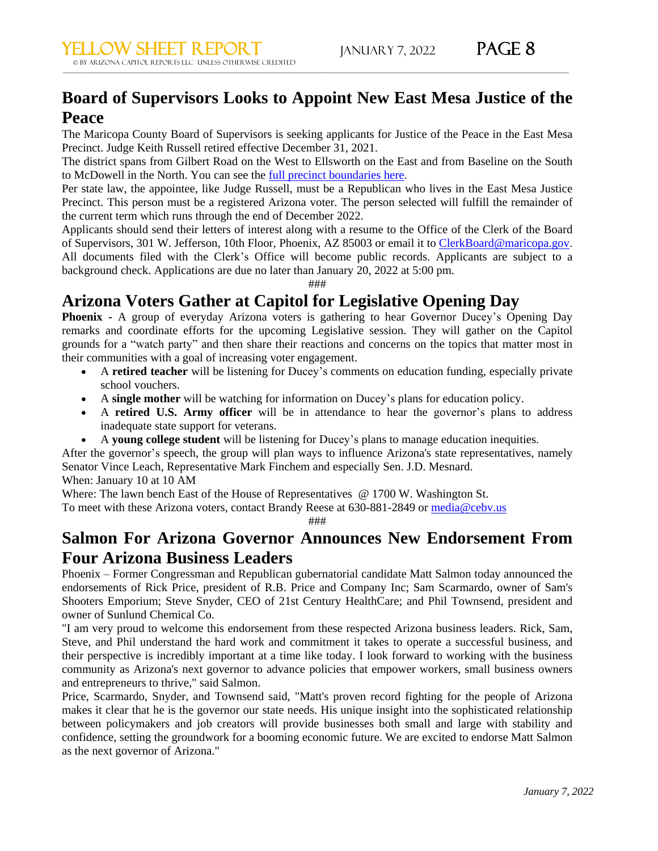## **Board of Supervisors Looks to Appoint New East Mesa Justice of the Peace**

\_\_\_\_\_\_\_\_\_\_\_\_\_\_\_\_\_\_\_\_\_\_\_\_\_\_\_\_\_\_\_\_\_\_\_\_\_\_\_\_\_\_\_\_\_\_\_\_\_\_\_\_\_\_\_\_\_\_\_\_\_\_\_\_\_\_\_\_\_\_\_\_\_\_\_\_\_\_\_\_\_\_\_\_\_\_\_\_\_\_\_\_\_\_\_\_\_\_\_\_\_\_\_\_\_\_\_\_\_\_\_\_\_\_\_\_\_\_\_\_\_\_\_\_\_\_\_\_\_\_\_\_\_\_\_\_\_\_\_\_\_\_\_\_\_\_\_\_\_\_\_\_\_\_\_\_\_

The Maricopa County Board of Supervisors is seeking applicants for Justice of the Peace in the East Mesa Precinct. Judge Keith Russell retired effective December 31, 2021.

The district spans from Gilbert Road on the West to Ellsworth on the East and from Baseline on the South to McDowell in the North. You can see the full precinct [boundaries](https://nam12.safelinks.protection.outlook.com/?url=https%3A%2F%2Flnks.gd%2Fl%2FeyJhbGciOiJIUzI1NiJ9.eyJidWxsZXRpbl9saW5rX2lkIjoxMDQsInVyaSI6ImJwMjpjbGljayIsImJ1bGxldGluX2lkIjoiMjAyMjAxMDcuNTE0MjkzMTEiLCJ1cmwiOiJodHRwczovL3JlY29yZGVyLm1hcmljb3BhLmdvdi9NYXBzMi9KdXN0aWNlX1ByZWNpbmN0cy9DdXJyZW50L0Vhc3RNZXNhVGFibG9pZFNpemUucGRmIn0.-xx4_gj_e-5qfpirrLqSh5mOJQCfaHpkt3Dzih_GWWQ%2Fs%2F1804218367%2Fbr%2F124336872013-l&data=04%7C01%7Cwschutsky%40azcapitoltimes.com%7C72e1cd169fea4c2a9fa908d9d1ff6d02%7C19066f1637ab495782af7cb29bcd78a3%7C1%7C0%7C637771717545369826%7CUnknown%7CTWFpbGZsb3d8eyJWIjoiMC4wLjAwMDAiLCJQIjoiV2luMzIiLCJBTiI6Ik1haWwiLCJXVCI6Mn0%3D%7C3000&sdata=Sgi6wbfW9NIy0EJHhx0sWB%2BWevxJTUPgdWm4WeZ%2F0qo%3D&reserved=0) here.

Per state law, the appointee, like Judge Russell, must be a Republican who lives in the East Mesa Justice Precinct. This person must be a registered Arizona voter. The person selected will fulfill the remainder of the current term which runs through the end of December 2022.

Applicants should send their letters of interest along with a resume to the Office of the Clerk of the Board of Supervisors, 301 W. Jefferson, 10th Floor, Phoenix, AZ 85003 or email it to [ClerkBoard@maricopa.gov.](mailto:ClerkBoard@maricopa.gov) All documents filed with the Clerk's Office will become public records. Applicants are subject to a background check. Applications are due no later than January 20, 2022 at 5:00 pm.

###

# **Arizona Voters Gather at Capitol for Legislative Opening Day**

**Phoenix -** A group of everyday Arizona voters is gathering to hear Governor Ducey's Opening Day remarks and coordinate efforts for the upcoming Legislative session. They will gather on the Capitol grounds for a "watch party" and then share their reactions and concerns on the topics that matter most in their communities with a goal of increasing voter engagement.

- A **retired teacher** will be listening for Ducey's comments on education funding, especially private school vouchers.
- A **single mother** will be watching for information on Ducey's plans for education policy.
- A **retired U.S. Army officer** will be in attendance to hear the governor's plans to address inadequate state support for veterans.
- A **young college student** will be listening for Ducey's plans to manage education inequities.

After the governor's speech, the group will plan ways to influence Arizona's state representatives, namely Senator Vince Leach, Representative Mark Finchem and especially Sen. J.D. Mesnard.

When: January 10 at 10 AM

Where: The lawn bench East of the House of Representatives @ 1700 W. Washington St.

To meet with these Arizona voters, contact Brandy Reese at 630-881-2849 or [media@cebv.us](mailto:media@cebv.us)

###

## **Salmon For Arizona Governor Announces New Endorsement From Four Arizona Business Leaders**

Phoenix – Former Congressman and Republican gubernatorial candidate Matt Salmon today announced the endorsements of Rick Price, president of R.B. Price and Company Inc; Sam Scarmardo, owner of Sam's Shooters Emporium; Steve Snyder, CEO of 21st Century HealthCare; and Phil Townsend, president and owner of Sunlund Chemical Co.

"I am very proud to welcome this endorsement from these respected Arizona business leaders. Rick, Sam, Steve, and Phil understand the hard work and commitment it takes to operate a successful business, and their perspective is incredibly important at a time like today. I look forward to working with the business community as Arizona's next governor to advance policies that empower workers, small business owners and entrepreneurs to thrive," said Salmon.

Price, Scarmardo, Snyder, and Townsend said, "Matt's proven record fighting for the people of Arizona makes it clear that he is the governor our state needs. His unique insight into the sophisticated relationship between policymakers and job creators will provide businesses both small and large with stability and confidence, setting the groundwork for a booming economic future. We are excited to endorse Matt Salmon as the next governor of Arizona."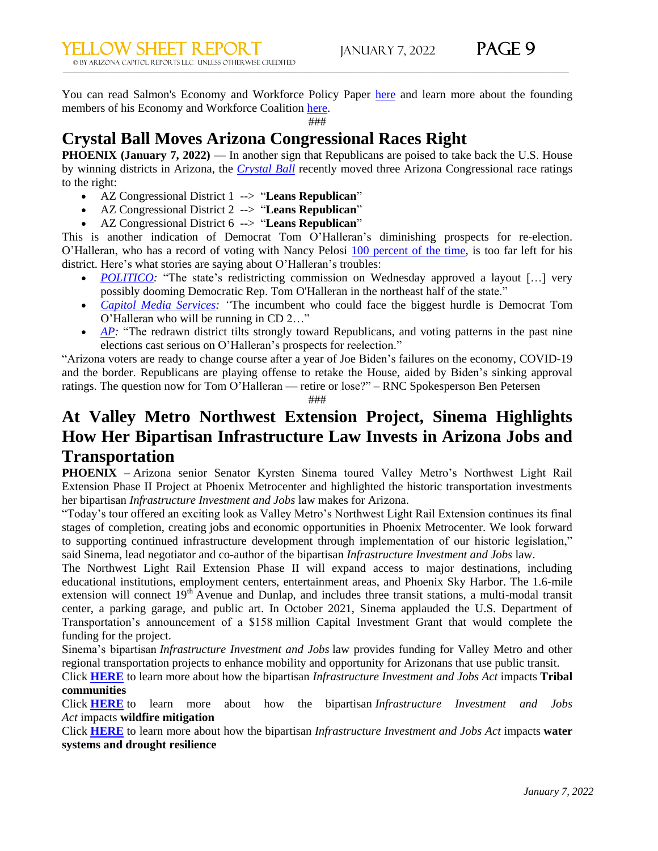You can read Salmon's Economy and Workforce Policy Paper [here](https://nam12.safelinks.protection.outlook.com/?url=https%3A%2F%2Fmattsalmonforaz.us6.list-manage.com%2Ftrack%2Fclick%3Fu%3D93f6123c0e903d5d1cb20ac3a%26id%3D06a0665a8b%26e%3D9573815b44&data=04%7C01%7Cwschutsky%40azcapitoltimes.com%7C3d5cfef3dff647688ba108d9d1fc9977%7C19066f1637ab495782af7cb29bcd78a3%7C1%7C0%7C637771706243278923%7CUnknown%7CTWFpbGZsb3d8eyJWIjoiMC4wLjAwMDAiLCJQIjoiV2luMzIiLCJBTiI6Ik1haWwiLCJXVCI6Mn0%3D%7C3000&sdata=MKcBIbv7yeti%2BbSUdMd%2FyaU5%2FEYJlD3lq8a%2FBx1ku5Q%3D&reserved=0) and learn more about the founding members of his Economy and Workforce Coalition [here.](https://nam12.safelinks.protection.outlook.com/?url=https%3A%2F%2Fmattsalmonforaz.us6.list-manage.com%2Ftrack%2Fclick%3Fu%3D93f6123c0e903d5d1cb20ac3a%26id%3Db29c8ac3f1%26e%3D9573815b44&data=04%7C01%7Cwschutsky%40azcapitoltimes.com%7C3d5cfef3dff647688ba108d9d1fc9977%7C19066f1637ab495782af7cb29bcd78a3%7C1%7C0%7C637771706243278923%7CUnknown%7CTWFpbGZsb3d8eyJWIjoiMC4wLjAwMDAiLCJQIjoiV2luMzIiLCJBTiI6Ik1haWwiLCJXVCI6Mn0%3D%7C3000&sdata=NsvY41Uw4WGbm6WZlqxfPG%2FjP6VLZ6KruwrAR%2FcM3vg%3D&reserved=0)

\_\_\_\_\_\_\_\_\_\_\_\_\_\_\_\_\_\_\_\_\_\_\_\_\_\_\_\_\_\_\_\_\_\_\_\_\_\_\_\_\_\_\_\_\_\_\_\_\_\_\_\_\_\_\_\_\_\_\_\_\_\_\_\_\_\_\_\_\_\_\_\_\_\_\_\_\_\_\_\_\_\_\_\_\_\_\_\_\_\_\_\_\_\_\_\_\_\_\_\_\_\_\_\_\_\_\_\_\_\_\_\_\_\_\_\_\_\_\_\_\_\_\_\_\_\_\_\_\_\_\_\_\_\_\_\_\_\_\_\_\_\_\_\_\_\_\_\_\_\_\_\_\_\_\_\_\_

###

## **Crystal Ball Moves Arizona Congressional Races Right**

**PHOENIX (January 7, 2022)** — In another sign that Republicans are poised to take back the U.S. House by winning districts in Arizona, the *[Crystal](https://nam12.safelinks.protection.outlook.com/?url=https%3A%2F%2Fcenterforpolitics.org%2Fcrystalball%2F2022-house%2F&data=04%7C01%7Cwschutsky%40azcapitoltimes.com%7C0b01a4b67a5c4421e20208d9d20792b1%7C19066f1637ab495782af7cb29bcd78a3%7C1%7C0%7C637771752246233226%7CUnknown%7CTWFpbGZsb3d8eyJWIjoiMC4wLjAwMDAiLCJQIjoiV2luMzIiLCJBTiI6Ik1haWwiLCJXVCI6Mn0%3D%7C3000&sdata=OB%2BE7XjL81U73qPDU3ukmXZ8NOSN4BQuRiaPIcCzxjQ%3D&reserved=0) Ball* recently moved three Arizona Congressional race ratings to the right:

- AZ Congressional District 1 --> "**Leans Republican**"
- AZ Congressional District 2 --> "**Leans Republican**"
- AZ Congressional District 6 --> "**Leans Republican**"

This is another indication of Democrat Tom O'Halleran's diminishing prospects for re-election. O'Halleran, who has a record of voting with Nancy Pelosi 100 [percent](https://nam12.safelinks.protection.outlook.com/?url=https%3A%2F%2Fprojects.propublica.org%2Frepresent%2Fmembers%2FP000197-nancy-pelosi%2Fcompare-votes%2FO000171-tom-o%27halleran%2F117&data=04%7C01%7Cwschutsky%40azcapitoltimes.com%7C0b01a4b67a5c4421e20208d9d20792b1%7C19066f1637ab495782af7cb29bcd78a3%7C1%7C0%7C637771752246243178%7CUnknown%7CTWFpbGZsb3d8eyJWIjoiMC4wLjAwMDAiLCJQIjoiV2luMzIiLCJBTiI6Ik1haWwiLCJXVCI6Mn0%3D%7C3000&sdata=YqwQdSd12I2dbGsCOj8xhuxopTeuV1tBg4YQpYOs3BI%3D&reserved=0) of the time, is too far left for his district. Here's what stories are saying about O'Halleran's troubles:

- *[POLITICO:](https://nam12.safelinks.protection.outlook.com/?url=https%3A%2F%2Fwww.politico.com%2Fnews%2F2021%2F12%2F22%2Fcongressional-redistricting-arizona-525993&data=04%7C01%7Cwschutsky%40azcapitoltimes.com%7C0b01a4b67a5c4421e20208d9d20792b1%7C19066f1637ab495782af7cb29bcd78a3%7C1%7C0%7C637771752246253134%7CUnknown%7CTWFpbGZsb3d8eyJWIjoiMC4wLjAwMDAiLCJQIjoiV2luMzIiLCJBTiI6Ik1haWwiLCJXVCI6Mn0%3D%7C3000&sdata=ysMyljti%2FcxGJBLUmF9BMXFh%2Fcv0d5PhPz8Pq8vjMZs%3D&reserved=0)* "The state's redistricting commission on Wednesday approved a layout [...] very possibly dooming Democratic Rep. Tom O'Halleran in the northeast half of the state."
- *Capitol Media [Services:](https://nam12.safelinks.protection.outlook.com/?url=https%3A%2F%2Fwww.wmicentral.com%2Fnews%2Flatest_news%2Fhow-much-will-democrats-lose%2Farticle_cd662862-5855-51f8-845d-110c87c8c09a.html&data=04%7C01%7Cwschutsky%40azcapitoltimes.com%7C0b01a4b67a5c4421e20208d9d20792b1%7C19066f1637ab495782af7cb29bcd78a3%7C1%7C0%7C637771752246253134%7CUnknown%7CTWFpbGZsb3d8eyJWIjoiMC4wLjAwMDAiLCJQIjoiV2luMzIiLCJBTiI6Ik1haWwiLCJXVCI6Mn0%3D%7C3000&sdata=Cv5AhNI8dZMpK5GyE1QuxH%2FT91RTxeqkMCgRP12NbZE%3D&reserved=0) "*The incumbent who could face the biggest hurdle is Democrat Tom O'Halleran who will be running in CD 2…"
- *[AP:](https://nam12.safelinks.protection.outlook.com/?url=https%3A%2F%2Fwww.abqjournal.com%2F2456718%2Fohalleran-says-redrawn-district-wont-deter-reelection-bid.html&data=04%7C01%7Cwschutsky%40azcapitoltimes.com%7C0b01a4b67a5c4421e20208d9d20792b1%7C19066f1637ab495782af7cb29bcd78a3%7C1%7C0%7C637771752246263093%7CUnknown%7CTWFpbGZsb3d8eyJWIjoiMC4wLjAwMDAiLCJQIjoiV2luMzIiLCJBTiI6Ik1haWwiLCJXVCI6Mn0%3D%7C3000&sdata=mT6jXkadmz%2BI8WF5LJfgpt7XEgLBgMbnim%2FjZwxdx0Q%3D&reserved=0)* "The redrawn district tilts strongly toward Republicans, and voting patterns in the past nine elections cast serious on O'Halleran's prospects for reelection."

"Arizona voters are ready to change course after a year of Joe Biden's failures on the economy, COVID-19 and the border. Republicans are playing offense to retake the House, aided by Biden's sinking approval ratings. The question now for Tom O'Halleran — retire or lose?" – RNC Spokesperson Ben Petersen

###

## **At Valley Metro Northwest Extension Project, Sinema Highlights How Her Bipartisan Infrastructure Law Invests in Arizona Jobs and Transportation**

**PHOENIX –** Arizona senior Senator Kyrsten Sinema toured Valley Metro's Northwest Light Rail Extension Phase II Project at Phoenix Metrocenter and highlighted the historic transportation investments her bipartisan *Infrastructure Investment and Jobs* law makes for Arizona.

"Today's tour offered an exciting look as Valley Metro's Northwest Light Rail Extension continues its final stages of completion, creating jobs and economic opportunities in Phoenix Metrocenter. We look forward to supporting continued infrastructure development through implementation of our historic legislation," said Sinema, lead negotiator and co-author of the bipartisan *Infrastructure Investment and Jobs* law.

The Northwest Light Rail Extension Phase II will expand access to major destinations, including educational institutions, employment centers, entertainment areas, and Phoenix Sky Harbor. The 1.6-mile extension will connect 19<sup>th</sup> Avenue and Dunlap, and includes three transit stations, a multi-modal transit center, a parking garage, and public art. In October 2021, Sinema applauded the U.S. Department of Transportation's announcement of a \$158 million Capital Investment Grant that would complete the funding for the project.

Sinema's bipartisan *Infrastructure Investment and Jobs* law provides funding for Valley Metro and other regional transportation projects to enhance mobility and opportunity for Arizonans that use public transit.

Click **[HERE](https://nam12.safelinks.protection.outlook.com/?url=https%3A%2F%2Fwww.sinema.senate.gov%2Fsites%2Fdefault%2Ffiles%2F2021-08%2F08.02.21%2520Press%2520Memo%3B%2520Bipartisan%2520Infrastructure%2520Investment%2520and%2520Jobs%2520Act%2520Tribal%2520Governments.pdf&data=04%7C01%7Cwschutsky%40azcapitoltimes.com%7C6a4b5cebdbe24ffdf89408d9d2307885%7C19066f1637ab495782af7cb29bcd78a3%7C1%7C0%7C637771928618814982%7CUnknown%7CTWFpbGZsb3d8eyJWIjoiMC4wLjAwMDAiLCJQIjoiV2luMzIiLCJBTiI6Ik1haWwiLCJXVCI6Mn0%3D%7C3000&sdata=JIky%2B%2FgYl772HyrNWU1HU13IRtfWwLTYt02xeqPax2U%3D&reserved=0)** to learn more about how the bipartisan *Infrastructure Investment and Jobs Act* impacts **Tribal communities**

Click **[HERE](https://nam12.safelinks.protection.outlook.com/?url=https%3A%2F%2Fwww.sinema.senate.gov%2Fsites%2Fdefault%2Ffiles%2F2021-08%2F08.03.21%2520Press%2520Memo%3B%2520The%2520Bipartisan%2520Infrastructure%2520Investment%2520and%2520Jobs%2520Act-%2520Wildfire%2520Mitigation%2520and%2520Recovery.pdf&data=04%7C01%7Cwschutsky%40azcapitoltimes.com%7C6a4b5cebdbe24ffdf89408d9d2307885%7C19066f1637ab495782af7cb29bcd78a3%7C1%7C0%7C637771928618824940%7CUnknown%7CTWFpbGZsb3d8eyJWIjoiMC4wLjAwMDAiLCJQIjoiV2luMzIiLCJBTiI6Ik1haWwiLCJXVCI6Mn0%3D%7C3000&sdata=xwhtfkV%2FtuF3Q%2BPSEJsSbOxlXYv05YldGV8AQOh8dA4%3D&reserved=0)** to learn more about how the bipartisan *Infrastructure Investment and Jobs Act* impacts **wildfire mitigation**

Click **[HERE](https://nam12.safelinks.protection.outlook.com/?url=https%3A%2F%2Fwww.sinema.senate.gov%2Fsites%2Fdefault%2Ffiles%2F2021-08%2F08.04.21%2520Press%2520Memo%3B%2520The%2520Bipartisan%2520Infrastructure%2520Investment%2520and%2520Jobs%2520Act-%2520Water%2520Systems%2520and%2520Drought.pdf&data=04%7C01%7Cwschutsky%40azcapitoltimes.com%7C6a4b5cebdbe24ffdf89408d9d2307885%7C19066f1637ab495782af7cb29bcd78a3%7C1%7C0%7C637771928618824940%7CUnknown%7CTWFpbGZsb3d8eyJWIjoiMC4wLjAwMDAiLCJQIjoiV2luMzIiLCJBTiI6Ik1haWwiLCJXVCI6Mn0%3D%7C3000&sdata=TZraGGr3gVLe%2FqKtwSn%2BdkHP2KY8%2B6ivxl%2FMrP70htY%3D&reserved=0)** to learn more about how the bipartisan *Infrastructure Investment and Jobs Act* impacts **water systems and drought resilience**